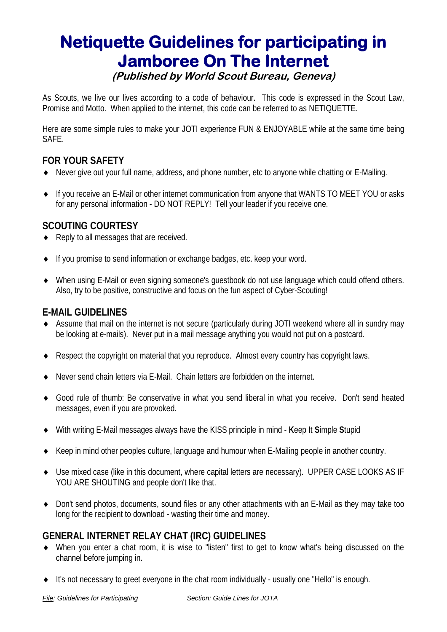# **Netiquette Guidelines for participating in Jamboree On The Internet (Published by World Scout Bureau, Geneva)**

As Scouts, we live our lives according to a code of behaviour. This code is expressed in the Scout Law, Promise and Motto. When applied to the internet, this code can be referred to as NETIQUETTE.

Here are some simple rules to make your JOTI experience FUN & ENJOYABLE while at the same time being SAFE.

## **FOR YOUR SAFETY**

- ♦ Never give out your full name, address, and phone number, etc to anyone while chatting or E-Mailing.
- ♦ If you receive an E-Mail or other internet communication from anyone that WANTS TO MEET YOU or asks for any personal information - DO NOT REPLY! Tell your leader if you receive one.

#### **SCOUTING COURTESY**

- ♦ Reply to all messages that are received.
- ♦ If you promise to send information or exchange badges, etc. keep your word.
- ♦ When using E-Mail or even signing someone's guestbook do not use language which could offend others. Also, try to be positive, constructive and focus on the fun aspect of Cyber-Scouting!

# **E-MAIL GUIDELINES**

- ♦ Assume that mail on the internet is not secure (particularly during JOTI weekend where all in sundry may be looking at e-mails). Never put in a mail message anything you would not put on a postcard.
- ♦ Respect the copyright on material that you reproduce. Almost every country has copyright laws.
- ♦ Never send chain letters via E-Mail. Chain letters are forbidden on the internet.
- ♦ Good rule of thumb: Be conservative in what you send liberal in what you receive. Don't send heated messages, even if you are provoked.
- ♦ With writing E-Mail messages always have the KISS principle in mind **K**eep **I**t **S**imple **S**tupid
- ♦ Keep in mind other peoples culture, language and humour when E-Mailing people in another country.
- ♦ Use mixed case (like in this document, where capital letters are necessary). UPPER CASE LOOKS AS IF YOU ARE SHOUTING and people don't like that.
- ♦ Don't send photos, documents, sound files or any other attachments with an E-Mail as they may take too long for the recipient to download - wasting their time and money.

#### **GENERAL INTERNET RELAY CHAT (IRC) GUIDELINES**

- ♦ When you enter a chat room, it is wise to "listen" first to get to know what's being discussed on the channel before jumping in.
- ♦ It's not necessary to greet everyone in the chat room individually usually one "Hello" is enough.